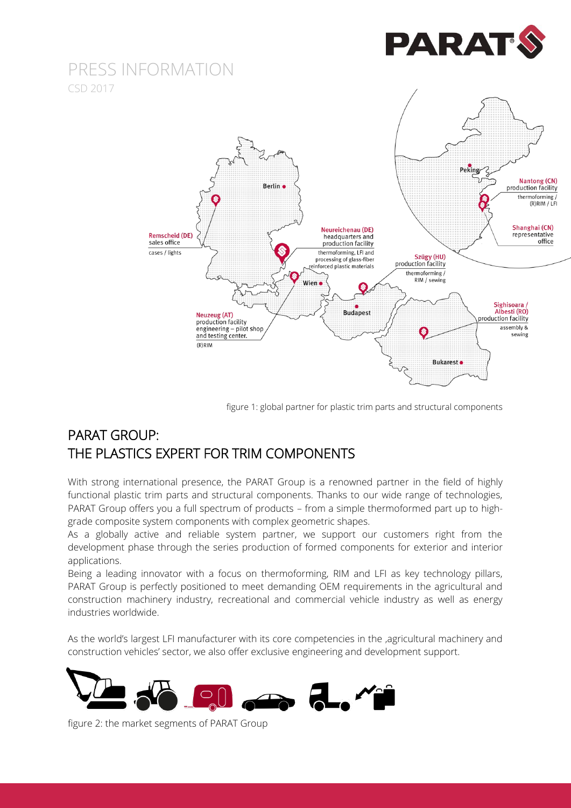



figure 1: global partner for plastic trim parts and structural components

### PARAT GROUP: THE PLASTICS EXPERT FOR TRIM COMPONENTS

With strong international presence, the PARAT Group is a renowned partner in the field of highly functional plastic trim parts and structural components. Thanks to our wide range of technologies, PARAT Group offers you a full spectrum of products – from a simple thermoformed part up to highgrade composite system components with complex geometric shapes.

As a globally active and reliable system partner, we support our customers right from the development phase through the series production of formed components for exterior and interior applications.

Being a leading innovator with a focus on thermoforming, RIM and LFI as key technology pillars, PARAT Group is perfectly positioned to meet demanding OEM requirements in the agricultural and construction machinery industry, recreational and commercial vehicle industry as well as energy industries worldwide.

As the world's largest LFI manufacturer with its core competencies in the ,agricultural machinery and construction vehicles' sector, we also offer exclusive engineering and development support.



figure 2: the market segments of PARAT Group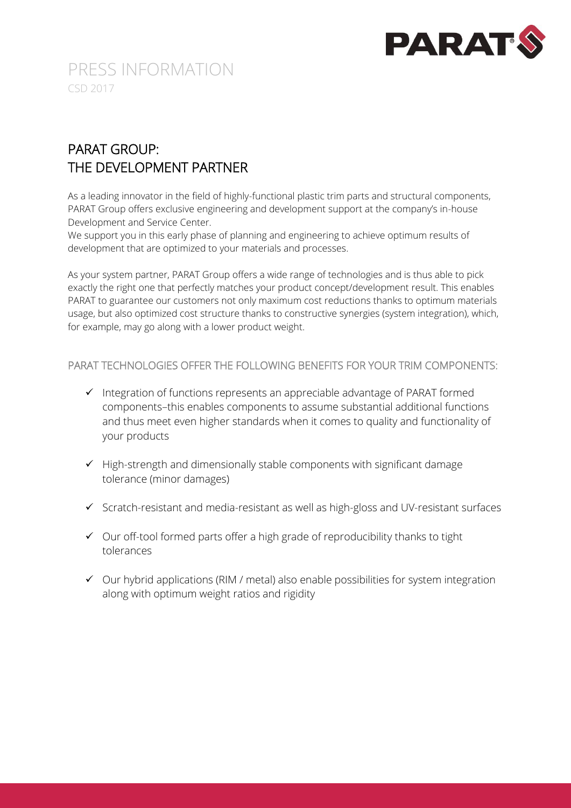

### PARAT GROUP: THE DEVELOPMENT PARTNER

As a leading innovator in the field of highly-functional plastic trim parts and structural components, PARAT Group offers exclusive engineering and development support at the company's in-house Development and Service Center.

We support you in this early phase of planning and engineering to achieve optimum results of development that are optimized to your materials and processes.

As your system partner, PARAT Group offers a wide range of technologies and is thus able to pick exactly the right one that perfectly matches your product concept/development result. This enables PARAT to guarantee our customers not only maximum cost reductions thanks to optimum materials usage, but also optimized cost structure thanks to constructive synergies (system integration), which, for example, may go along with a lower product weight.

PARAT TECHNOLOGIES OFFER THE FOLLOWING BENEFITS FOR YOUR TRIM COMPONENTS:

- $\checkmark$  Integration of functions represents an appreciable advantage of PARAT formed components–this enables components to assume substantial additional functions and thus meet even higher standards when it comes to quality and functionality of your products
- $\checkmark$  High-strength and dimensionally stable components with significant damage tolerance (minor damages)
- $\checkmark$  Scratch-resistant and media-resistant as well as high-gloss and UV-resistant surfaces
- $\checkmark$  Our off-tool formed parts offer a high grade of reproducibility thanks to tight tolerances
- $\checkmark$  Our hybrid applications (RIM / metal) also enable possibilities for system integration along with optimum weight ratios and rigidity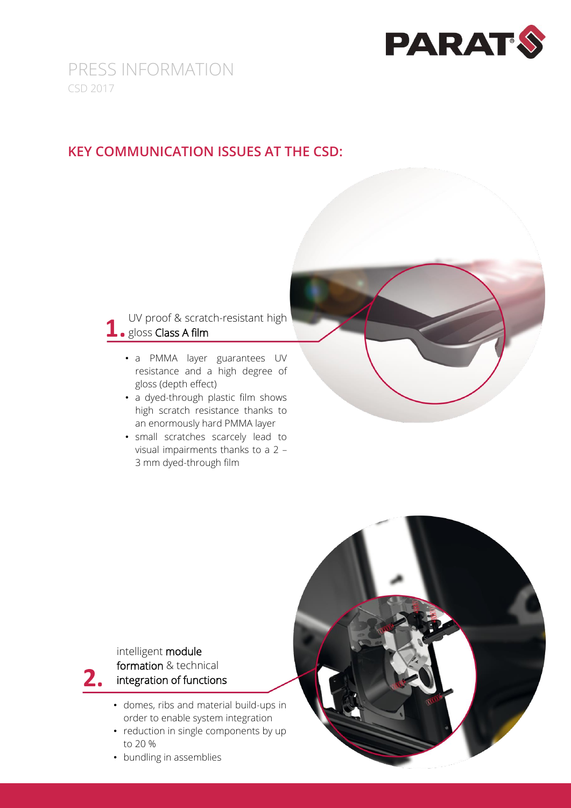

#### **KEY COMMUNICATION ISSUES AT THE CSD:**

#### UV proof & scratch-resistant high 1. gloss Class A film

- a PMMA layer guarantees UV resistance and a high degree of gloss (depth effect)
- a dyed-through plastic film shows high scratch resistance thanks to an enormously hard PMMA layer
- small scratches scarcely lead to visual impairments thanks to a 2 – 3 mm dyed-through film

#### intelligent module formation & technical integration of functions **2.**

- domes, ribs and material build-ups in order to enable system integration
- reduction in single components by up to 20 %
- bundling in assemblies

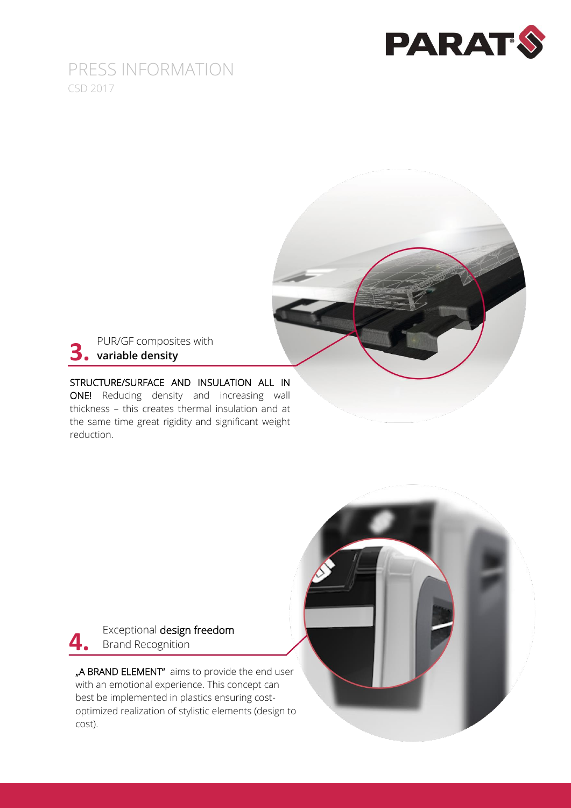



#### STRUCTURE/SURFACE AND INSULATION ALL IN ONE! Reducing density and increasing wall thickness – this creates thermal insulation and at the same time great rigidity and significant weight reduction.



"A BRAND ELEMENT" aims to provide the end user with an emotional experience. This concept can best be implemented in plastics ensuring costoptimized realization of stylistic elements (design to cost).

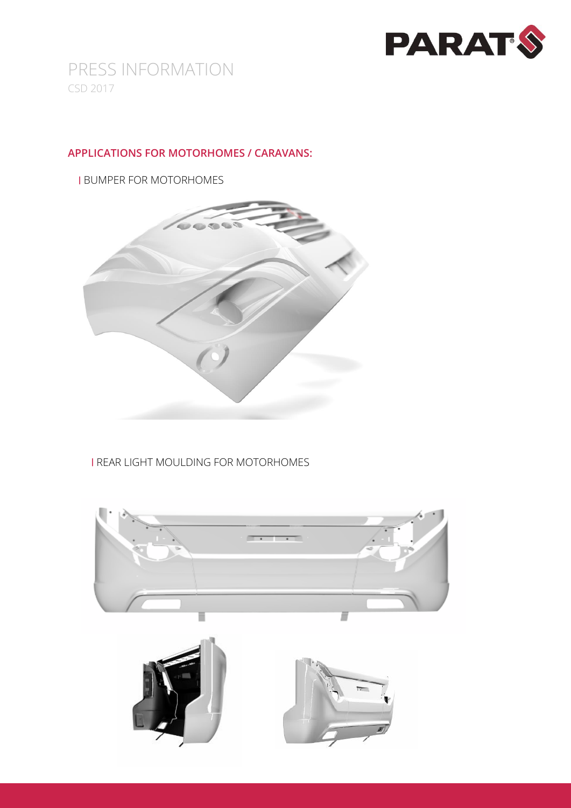

#### **APPLICATIONS FOR MOTORHOMES / CARAVANS:**

I BUMPER FOR MOTORHOMES



I REAR LIGHT MOULDING FOR MOTORHOMES

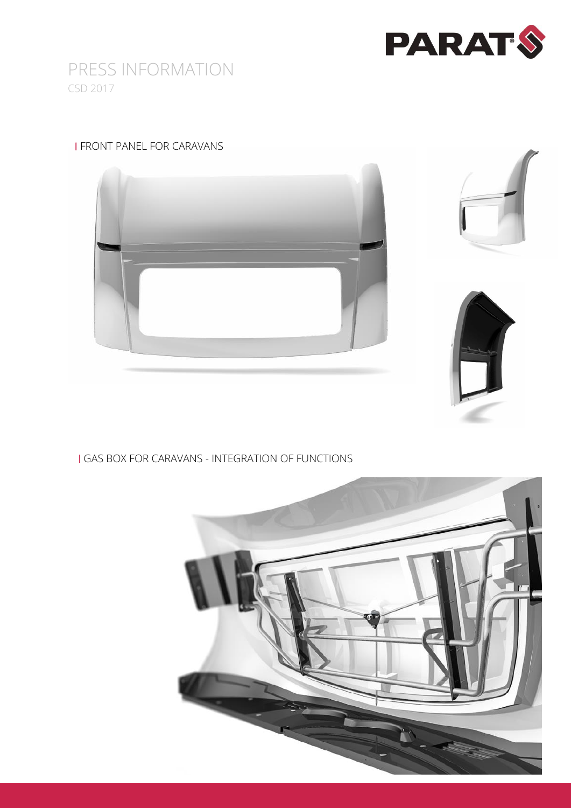

#### I FRONT PANEL FOR CARAVANS